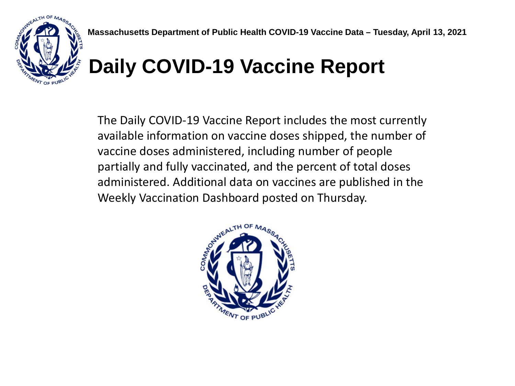

## **Daily COVID-19 Vaccine Report**

The Daily COVID-19 Vaccine Report includes the most currently available information on vaccine doses shipped, the number of vaccine doses administered, including number of people partially and fully vaccinated, and the percent of total doses administered. Additional data on vaccines are published in the Weekly Vaccination Dashboard posted on Thursday.

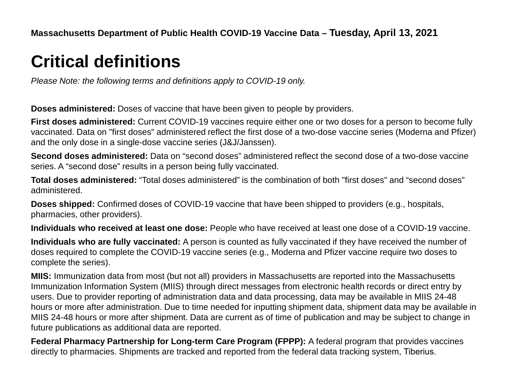## **Critical definitions**

*Please Note: the following terms and definitions apply to COVID-19 only.*

**Doses administered:** Doses of vaccine that have been given to people by providers.

**First doses administered:** Current COVID-19 vaccines require either one or two doses for a person to become fully vaccinated. Data on "first doses" administered reflect the first dose of a two-dose vaccine series (Moderna and Pfizer) and the only dose in a single-dose vaccine series (J&J/Janssen).

**Second doses administered:** Data on "second doses" administered reflect the second dose of a two-dose vaccine series. A "second dose" results in a person being fully vaccinated.

**Total doses administered:** "Total doses administered" is the combination of both "first doses" and "second doses" administered.

**Doses shipped:** Confirmed doses of COVID-19 vaccine that have been shipped to providers (e.g., hospitals, pharmacies, other providers).

**Individuals who received at least one dose:** People who have received at least one dose of a COVID-19 vaccine.

**Individuals who are fully vaccinated:** A person is counted as fully vaccinated if they have received the number of doses required to complete the COVID-19 vaccine series (e.g., Moderna and Pfizer vaccine require two doses to complete the series).

**MIIS:** Immunization data from most (but not all) providers in Massachusetts are reported into the Massachusetts Immunization Information System (MIIS) through direct messages from electronic health records or direct entry by users. Due to provider reporting of administration data and data processing, data may be available in MIIS 24-48 hours or more after administration. Due to time needed for inputting shipment data, shipment data may be available in MIIS 24-48 hours or more after shipment. Data are current as of time of publication and may be subject to change in future publications as additional data are reported.

**Federal Pharmacy Partnership for Long-term Care Program (FPPP):** A federal program that provides vaccines directly to pharmacies. Shipments are tracked and reported from the federal data tracking system, Tiberius.